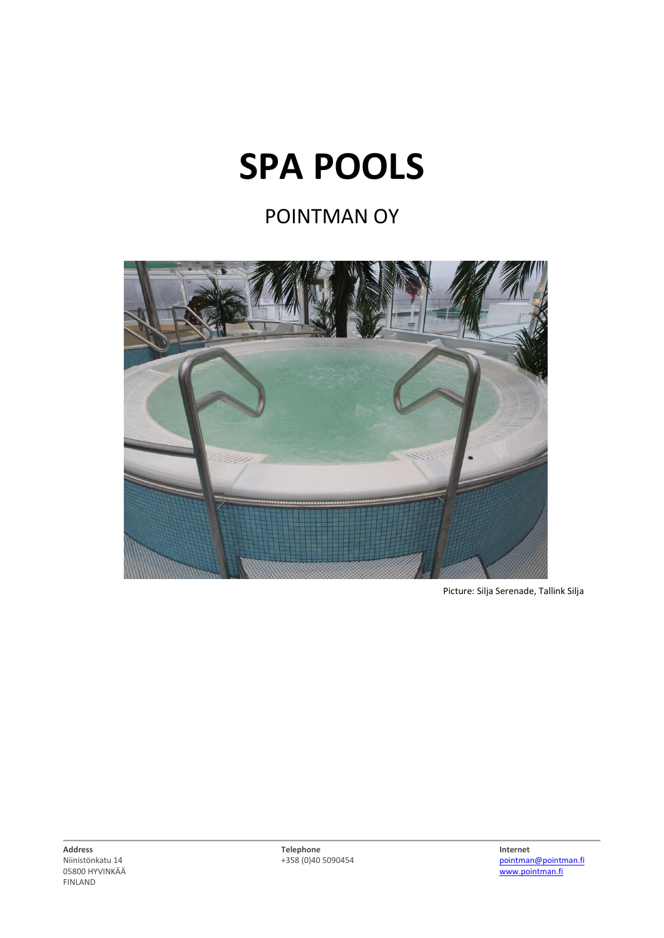## **SPA POOLS**

## POINTMAN OY



Picture: Silja Serenade, Tallink Silja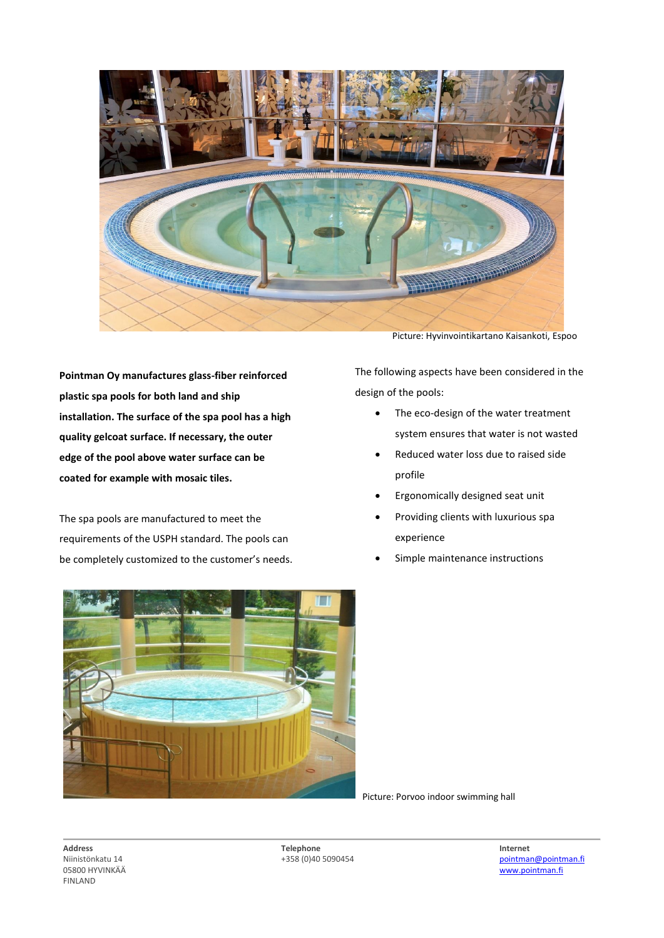

**Pointman Oy manufactures glass-fiber reinforced plastic spa pools for both land and ship installation. The surface of the spa pool has a high quality gelcoat surface. If necessary, the outer edge of the pool above water surface can be coated for example with mosaic tiles.**

The spa pools are manufactured to meet the requirements of the USPH standard. The pools can be completely customized to the customer's needs.

Picture: Hyvinvointikartano Kaisankoti, Espoo

The following aspects have been considered in the design of the pools:

- The eco-design of the water treatment system ensures that water is not wasted
- Reduced water loss due to raised side profile
- Ergonomically designed seat unit
- Providing clients with luxurious spa experience
- Simple maintenance instructions



Picture: Porvoo indoor swimming hall

**Address Telephone Internet**

Niinistönkatu 14<br>
05800 HYVINKÄÄ<br>
05800 HYVINKÄÄ [www.pointman.fi](http://www.pointman.fi/)